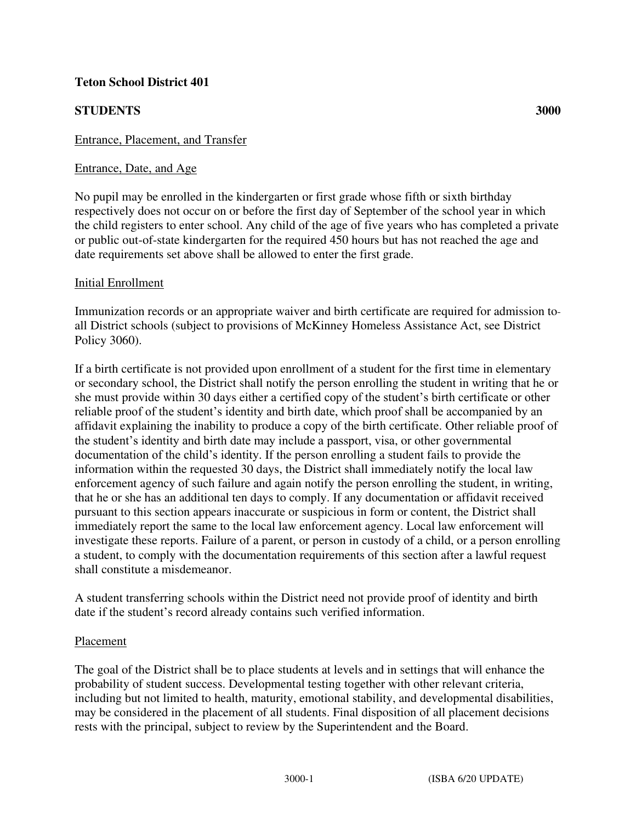# **Teton School District 401**

# **STUDENTS 3000**

### Entrance, Placement, and Transfer

#### Entrance, Date, and Age

No pupil may be enrolled in the kindergarten or first grade whose fifth or sixth birthday respectively does not occur on or before the first day of September of the school year in which the child registers to enter school. Any child of the age of five years who has completed a private or public out-of-state kindergarten for the required 450 hours but has not reached the age and date requirements set above shall be allowed to enter the first grade.

#### Initial Enrollment

Immunization records or an appropriate waiver and birth certificate are required for admission to all District schools (subject to provisions of McKinney Homeless Assistance Act, see District Policy 3060).

If a birth certificate is not provided upon enrollment of a student for the first time in elementary or secondary school, the District shall notify the person enrolling the student in writing that he or she must provide within 30 days either a certified copy of the student's birth certificate or other reliable proof of the student's identity and birth date, which proof shall be accompanied by an affidavit explaining the inability to produce a copy of the birth certificate. Other reliable proof of the student's identity and birth date may include a passport, visa, or other governmental documentation of the child's identity. If the person enrolling a student fails to provide the information within the requested 30 days, the District shall immediately notify the local law enforcement agency of such failure and again notify the person enrolling the student, in writing, that he or she has an additional ten days to comply. If any documentation or affidavit received pursuant to this section appears inaccurate or suspicious in form or content, the District shall immediately report the same to the local law enforcement agency. Local law enforcement will investigate these reports. Failure of a parent, or person in custody of a child, or a person enrolling a student, to comply with the documentation requirements of this section after a lawful request shall constitute a misdemeanor.

A student transferring schools within the District need not provide proof of identity and birth date if the student's record already contains such verified information.

#### Placement

The goal of the District shall be to place students at levels and in settings that will enhance the probability of student success. Developmental testing together with other relevant criteria, including but not limited to health, maturity, emotional stability, and developmental disabilities, may be considered in the placement of all students. Final disposition of all placement decisions rests with the principal, subject to review by the Superintendent and the Board.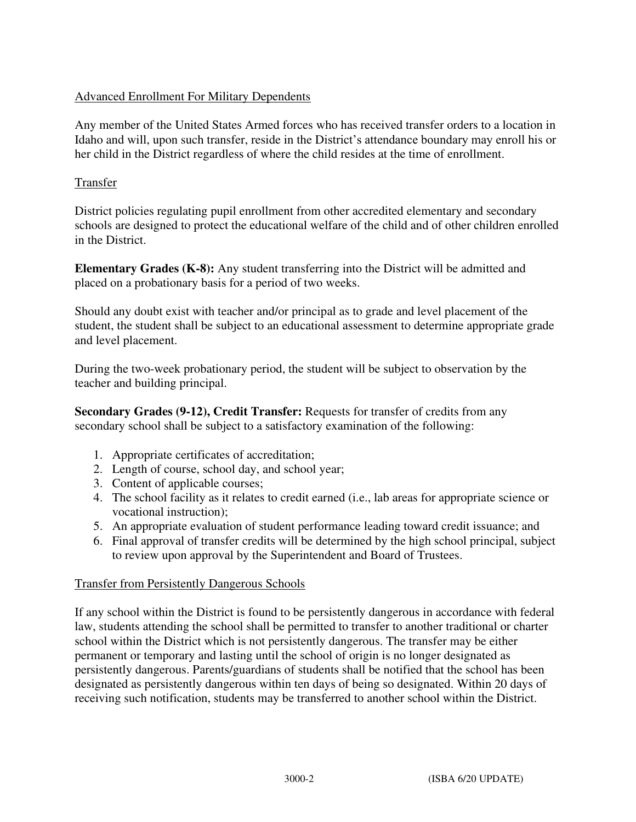# Advanced Enrollment For Military Dependents

Any member of the United States Armed forces who has received transfer orders to a location in Idaho and will, upon such transfer, reside in the District's attendance boundary may enroll his or her child in the District regardless of where the child resides at the time of enrollment.

### Transfer

District policies regulating pupil enrollment from other accredited elementary and secondary schools are designed to protect the educational welfare of the child and of other children enrolled in the District.

**Elementary Grades (K-8):** Any student transferring into the District will be admitted and placed on a probationary basis for a period of two weeks.

Should any doubt exist with teacher and/or principal as to grade and level placement of the student, the student shall be subject to an educational assessment to determine appropriate grade and level placement.

During the two-week probationary period, the student will be subject to observation by the teacher and building principal.

**Secondary Grades (9-12), Credit Transfer:** Requests for transfer of credits from any secondary school shall be subject to a satisfactory examination of the following:

- 1. Appropriate certificates of accreditation;
- 2. Length of course, school day, and school year;
- 3. Content of applicable courses;
- 4. The school facility as it relates to credit earned (i.e., lab areas for appropriate science or vocational instruction);
- 5. An appropriate evaluation of student performance leading toward credit issuance; and
- 6. Final approval of transfer credits will be determined by the high school principal, subject to review upon approval by the Superintendent and Board of Trustees.

### Transfer from Persistently Dangerous Schools

If any school within the District is found to be persistently dangerous in accordance with federal law, students attending the school shall be permitted to transfer to another traditional or charter school within the District which is not persistently dangerous. The transfer may be either permanent or temporary and lasting until the school of origin is no longer designated as persistently dangerous. Parents/guardians of students shall be notified that the school has been designated as persistently dangerous within ten days of being so designated. Within 20 days of receiving such notification, students may be transferred to another school within the District.